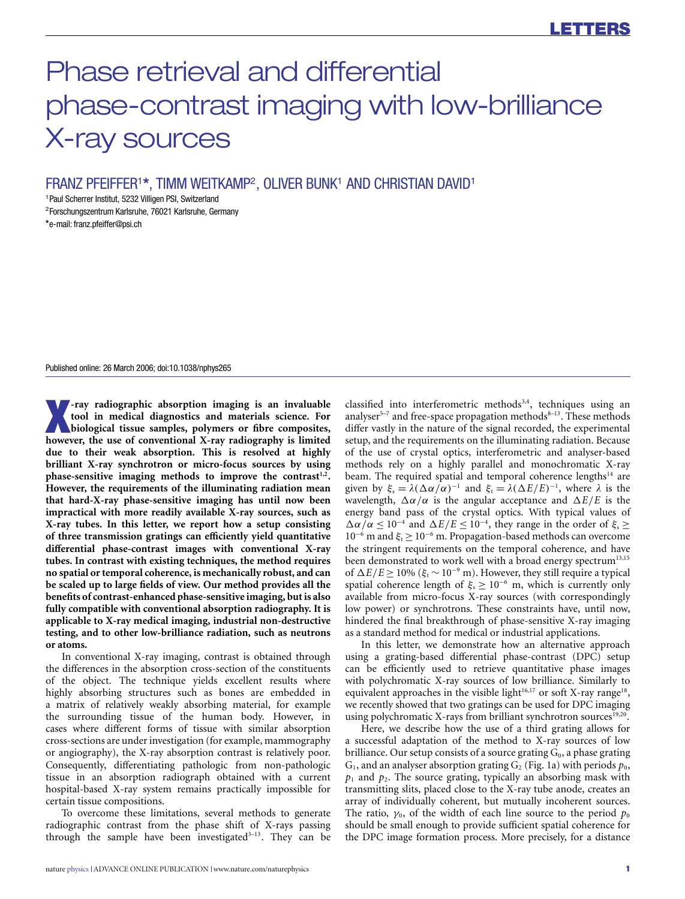# Phase retrieval and differential phase-contrast imaging with low-brilliance X-ray sources

FRANZ PFEIFFER1**\***, TIMM WEITKAMP2, OLIVER BUNK<sup>1</sup> AND CHRISTIAN DAVID<sup>1</sup>

<sup>1</sup>Paul Scherrer Institut, 5232 Villigen PSI, Switzerland

<sup>2</sup>Forschungszentrum Karlsruhe, 76021 Karlsruhe, Germany **\***e-mail: franz.pfeiffer@psi.ch

Published online: 26 March 2006; doi:10.1038/nphys265

**X**<br>**X**-ray radiographic absorption imaging is an invaluable<br>tool in medical diagnostics and materials science. For<br>biological tissue samples, polymers or fibre composites,<br>however the use of conventional X-ray radiography **tool in medical diagnostics and materials science. For however, the use of conventional X-ray radiography is limited due to their weak absorption. This is resolved at highly brilliant X-ray synchrotron or micro-focus sources by using** phase-sensitive imaging methods to improve the contrast<sup>1,2</sup>. **However, the requirements of the illuminating radiation mean that hard-X-ray phase-sensitive imaging has until now been impractical with more readily available X-ray sources, such as X-ray tubes. In this letter, we report how a setup consisting of three transmission gratings can efficiently yield quantitative differential phase-contrast images with conventional X-ray tubes. In contrast with existing techniques, the method requires no spatial or temporal coherence, is mechanically robust, and can be scaled up to large fields of view. Our method provides all the benefits of contrast-enhanced phase-sensitive imaging, but is also fully compatible with conventional absorption radiography. It is applicable to X-ray medical imaging, industrial non-destructive testing, and to other low-brilliance radiation, such as neutrons or atoms.**

In conventional X-ray imaging, contrast is obtained through the differences in the absorption cross-section of the constituents of the object. The technique yields excellent results where highly absorbing structures such as bones are embedded in a matrix of relatively weakly absorbing material, for example the surrounding tissue of the human body. However, in cases where different forms of tissue with similar absorption cross-sections are under investigation (for example, mammography or angiography), the X-ray absorption contrast is relatively poor. Consequently, differentiating pathologic from non-pathologic tissue in an absorption radiograph obtained with a current hospital-based X-ray system remains practically impossible for certain tissue compositions.

To overcome these limitations, several methods to generate radiographic contrast from the phase shift of X-rays passing through the sample have been investigated<sup>3-13</sup>. They can be classified into interferometric methods<sup>3,4</sup>, techniques using an analyser<sup>5–7</sup> and free-space propagation methods<sup>8–13</sup>. These methods differ vastly in the nature of the signal recorded, the experimental setup, and the requirements on the illuminating radiation. Because of the use of crystal optics, interferometric and analyser-based methods rely on a highly parallel and monochromatic X-ray beam. The required spatial and temporal coherence lengths $14$  are given by  $\xi_s = \lambda(\Delta\alpha/\alpha)^{-1}$  and  $\xi_t = \lambda(\Delta E/E)^{-1}$ , where  $\lambda$  is the wavelength,  $\Delta \alpha / \alpha$  is the angular acceptance and  $\Delta E / E$  is the energy band pass of the crystal optics. With typical values of  $\Delta \alpha / \alpha \leq 10^{-4}$  and  $\Delta E / E \leq 10^{-4}$ , they range in the order of  $\xi_s \geq$  $10^{-6}$  m and  $\xi_t \ge 10^{-6}$  m. Propagation-based methods can overcome the stringent requirements on the temporal coherence, and have been demonstrated to work well with a broad energy spectrum<sup>13,15</sup> of  $\Delta E/E \ge 10\%$  ( $\xi_t \sim 10^{-9}$  m). However, they still require a typical spatial coherence length of  $\xi_s \geq 10^{-6}$  m, which is currently only available from micro-focus X-ray sources (with correspondingly low power) or synchrotrons. These constraints have, until now, hindered the final breakthrough of phase-sensitive X-ray imaging as a standard method for medical or industrial applications.

In this letter, we demonstrate how an alternative approach using a grating-based differential phase-contrast (DPC) setup can be efficiently used to retrieve quantitative phase images with polychromatic X-ray sources of low brilliance. Similarly to equivalent approaches in the visible light<sup>16,17</sup> or soft X-ray range<sup>18</sup>, we recently showed that two gratings can be used for DPC imaging using polychromatic X-rays from brilliant synchrotron sources $19,20$ .

Here, we describe how the use of a third grating allows for a successful adaptation of the method to X-ray sources of low brilliance. Our setup consists of a source grating  $G_0$ , a phase grating  $G_1$ , and an analyser absorption grating  $G_2$  (Fig. 1a) with periods  $p_0$ ,  $p_1$  and  $p_2$ . The source grating, typically an absorbing mask with transmitting slits, placed close to the X-ray tube anode, creates an array of individually coherent, but mutually incoherent sources. The ratio,  $\gamma_0$ , of the width of each line source to the period  $p_0$ should be small enough to provide sufficient spatial coherence for the DPC image formation process. More precisely, for a distance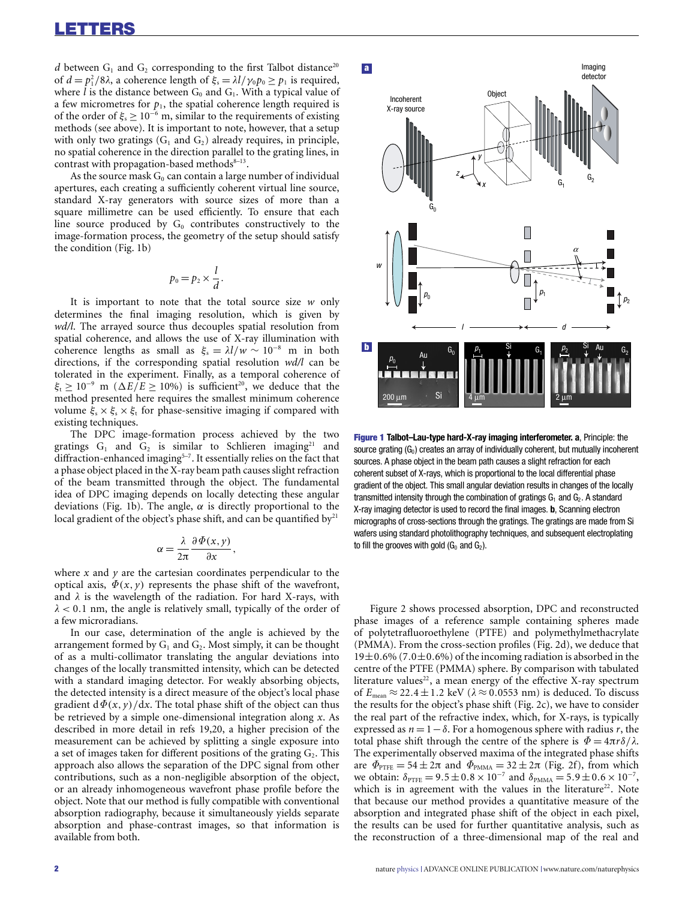*d* between  $G_1$  and  $G_2$  corresponding to the first Talbot distance<sup>20</sup> of  $d = p_1^2/8\lambda$ , a coherence length of  $\xi_s = \lambda l / \gamma_0 p_0 \ge p_1$  is required, where *l* is the distance between  $G_0$  and  $G_1$ . With a typical value of a few micrometres for  $p_1$ , the spatial coherence length required is of the order of  $\xi$  > 10<sup>-6</sup> m, similar to the requirements of existing methods (see above). It is important to note, however, that a setup with only two gratings  $(G_1 \text{ and } G_2)$  already requires, in principle, no spatial coherence in the direction parallel to the grating lines, in contrast with propagation-based methods $8-13$ .

As the source mask  $G_0$  can contain a large number of individual apertures, each creating a sufficiently coherent virtual line source, standard X-ray generators with source sizes of more than a square millimetre can be used efficiently. To ensure that each line source produced by  $G_0$  contributes constructively to the image-formation process, the geometry of the setup should satisfy the condition (Fig. 1b)

$$
p_0=p_2\times\frac{l}{d}.
$$

It is important to note that the total source size *w* only determines the final imaging resolution, which is given by *wd/l*. The arrayed source thus decouples spatial resolution from spatial coherence, and allows the use of X-ray illumination with coherence lengths as small as  $\xi_s = \lambda l/w \sim 10^{-8}$  m in both directions, if the corresponding spatial resolution *wd/l* can be tolerated in the experiment. Finally, as a temporal coherence of  $\xi_t \geq 10^{-9}$  m ( $\Delta E/E \geq 10\%$ ) is sufficient<sup>20</sup>, we deduce that the method presented here requires the smallest minimum coherence volume  $\xi_{s} \times \xi_{s} \times \xi_{t}$  for phase-sensitive imaging if compared with existing techniques.

The DPC image-formation process achieved by the two gratings  $G_1$  and  $G_2$  is similar to Schlieren imaging<sup>21</sup> and diffraction-enhanced imaging $5-7$ . It essentially relies on the fact that a phase object placed in the X-ray beam path causes slight refraction of the beam transmitted through the object. The fundamental idea of DPC imaging depends on locally detecting these angular deviations (Fig. 1b). The angle,  $\alpha$  is directly proportional to the local gradient of the object's phase shift, and can be quantified  $by<sup>21</sup>$ 

$$
\alpha = \frac{\lambda}{2\pi} \frac{\partial \Phi(x, y)}{\partial x},
$$

where  $x$  and  $y$  are the cartesian coordinates perpendicular to the optical axis,  $\Phi(x, y)$  represents the phase shift of the wavefront, and  $\lambda$  is the wavelength of the radiation. For hard X-rays, with  $\lambda$  < 0.1 nm, the angle is relatively small, typically of the order of a few microradians.

In our case, determination of the angle is achieved by the arrangement formed by  $G_1$  and  $G_2$ . Most simply, it can be thought of as a multi-collimator translating the angular deviations into changes of the locally transmitted intensity, which can be detected with a standard imaging detector. For weakly absorbing objects, the detected intensity is a direct measure of the object's local phase gradient  $d\Phi(x, y)/dx$ . The total phase shift of the object can thus be retrieved by a simple one-dimensional integration along *x*. As described in more detail in refs 19,20, a higher precision of the measurement can be achieved by splitting a single exposure into a set of images taken for different positions of the grating  $G_2$ . This approach also allows the separation of the DPC signal from other contributions, such as a non-negligible absorption of the object, or an already inhomogeneous wavefront phase profile before the object. Note that our method is fully compatible with conventional absorption radiography, because it simultaneously yields separate absorption and phase-contrast images, so that information is available from both.



**Figure 1 Talbot–Lau-type hard-X-ray imaging interferometer. a**, Principle: the source grating  $(G_0)$  creates an array of individually coherent, but mutually incoherent sources. A phase object in the beam path causes a slight refraction for each coherent subset of X-rays, which is proportional to the local differential phase gradient of the object. This small angular deviation results in changes of the locally transmitted intensity through the combination of gratings  $G_1$  and  $G_2$ . A standard X-ray imaging detector is used to record the final images. **b**, Scanning electron micrographs of cross-sections through the gratings. The gratings are made from Si wafers using standard photolithography techniques, and subsequent electroplating to fill the grooves with gold  $(G_0 \text{ and } G_2)$ .

Figure 2 shows processed absorption, DPC and reconstructed phase images of a reference sample containing spheres made of polytetrafluoroethylene (PTFE) and polymethylmethacrylate (PMMA). From the cross-section profiles (Fig. 2d), we deduce that 19 $\pm$ 0.6% (7.0 $\pm$ 0.6%) of the incoming radiation is absorbed in the centre of the PTFE (PMMA) sphere. By comparison with tabulated literature values<sup>22</sup>, a mean energy of the effective X-ray spectrum of  $E_{\text{mean}} \approx 22.4 \pm 1.2$  keV ( $\lambda \approx 0.0553$  nm) is deduced. To discuss the results for the object's phase shift (Fig. 2c), we have to consider the real part of the refractive index, which, for X-rays, is typically expressed as  $n = 1 - \delta$ . For a homogenous sphere with radius *r*, the total phase shift through the centre of the sphere is  $\Phi = 4\pi r \delta / \lambda$ . The experimentally observed maxima of the integrated phase shifts are  $\Phi_{\text{PTFE}} = 54 \pm 2\pi$  and  $\Phi_{\text{PMMA}} = 32 \pm 2\pi$  (Fig. 2f), from which we obtain:  $\delta_{\text{PTFE}} = 9.5 \pm 0.8 \times 10^{-7}$  and  $\delta_{\text{PMMA}} = 5.9 \pm 0.6 \times 10^{-7}$ , which is in agreement with the values in the literature<sup>22</sup>. Note that because our method provides a quantitative measure of the absorption and integrated phase shift of the object in each pixel, the results can be used for further quantitative analysis, such as the reconstruction of a three-dimensional map of the real and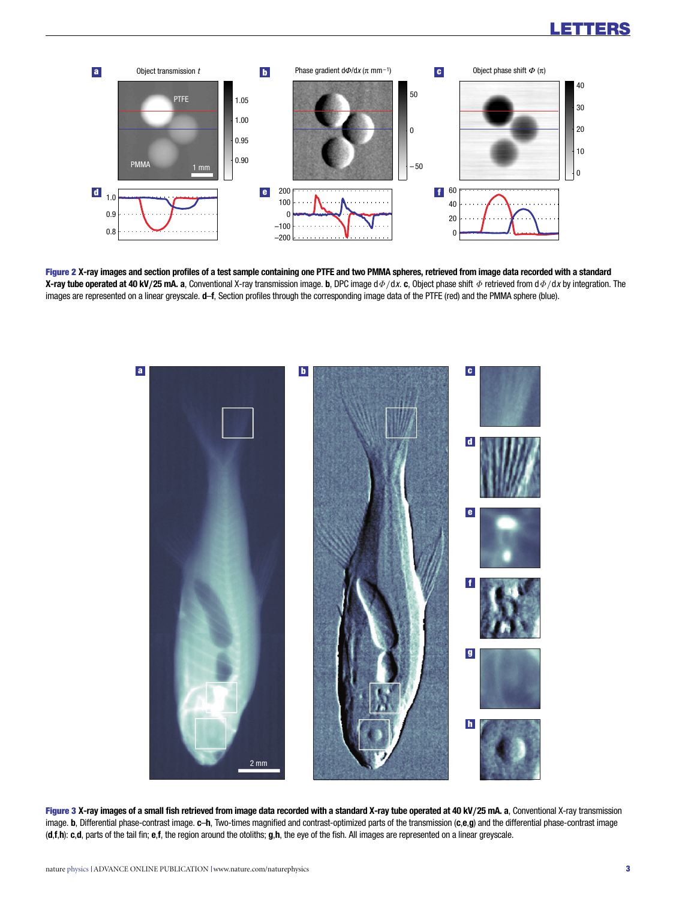# **LETTERS**



**Figure 2 X-ray images and section profiles of a test sample containing one PTFE and two PMMA spheres, retrieved from image data recorded with a standard X-ray tube operated at 40 kV***/***25 mA. a**, Conventional X-ray transmission image. **b**, DPC image dΦ/dx. **c**, Object phase shift Φ retrieved from dΦ/dx by integration. The images are represented on a linear greyscale. **d**–**f**, Section profiles through the corresponding image data of the PTFE (red) and the PMMA sphere (blue).



**Figure 3 X-ray images of a small fish retrieved from image data recorded with a standard X-ray tube operated at 40 kV***/***25 mA. a**, Conventional X-ray transmission image. **b**, Differential phase-contrast image. **c**–**h**, Two-times magnified and contrast-optimized parts of the transmission (**c**,**e**,**g**) and the differential phase-contrast image (**d**,**f**,**h**): **c**,**d**, parts of the tail fin; **e**,**f**, the region around the otoliths; **g**,**h**, the eye of the fish. All images are represented on a linear greyscale.